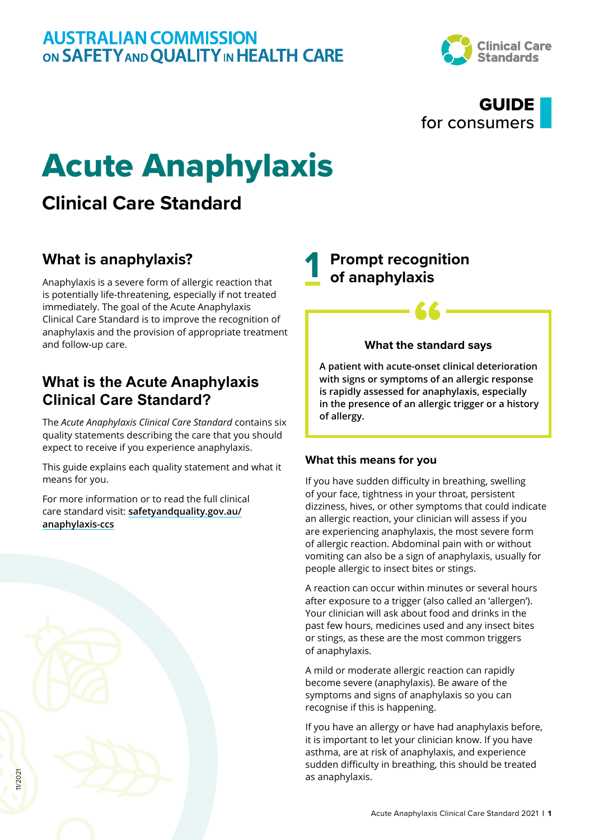

## GUIDE for consumers

# Acute Anaphylaxis

# **Clinical Care Standard**

## **What is anaphylaxis?**

Anaphylaxis is a severe form of allergic reaction that is potentially life-threatening, especially if not treated immediately. The goal of the Acute Anaphylaxis Clinical Care Standard is to improve the recognition of anaphylaxis and the provision of appropriate treatment and follow-up care.

## **What is the Acute Anaphylaxis Clinical Care Standard?**

The *Acute Anaphylaxis Clinical Care Standard* contains six quality statements describing the care that you should expect to receive if you experience anaphylaxis.

This guide explains each quality statement and what it means for you.

For more information or to read the full clinical care standard visit: **[safetyandquality.gov.au/](http://safetyandquality.gov.au/anaphylaxis-ccs) [anaphylaxis-ccs](http://safetyandquality.gov.au/anaphylaxis-ccs)**

## **1 Prompt recognition of anaphylaxis**

# *<u>K</u>*<br>What the standard says

**A patient with acute-onset clinical deterioration with signs or symptoms of an allergic response is rapidly assessed for anaphylaxis, especially in the presence of an allergic trigger or a history of allergy.**

### **What this means for you**

If you have sudden difficulty in breathing, swelling of your face, tightness in your throat, persistent dizziness, hives, or other symptoms that could indicate an allergic reaction, your clinician will assess if you are experiencing anaphylaxis, the most severe form of allergic reaction. Abdominal pain with or without vomiting can also be a sign of anaphylaxis, usually for people allergic to insect bites or stings.

A reaction can occur within minutes or several hours after exposure to a trigger (also called an 'allergen'). Your clinician will ask about food and drinks in the past few hours, medicines used and any insect bites or stings, as these are the most common triggers of anaphylaxis.

A mild or moderate allergic reaction can rapidly become severe (anaphylaxis). Be aware of the symptoms and signs of anaphylaxis so you can recognise if this is happening.

If you have an allergy or have had anaphylaxis before, it is important to let your clinician know. If you have asthma, are at risk of anaphylaxis, and experience sudden difficulty in breathing, this should be treated as anaphylaxis.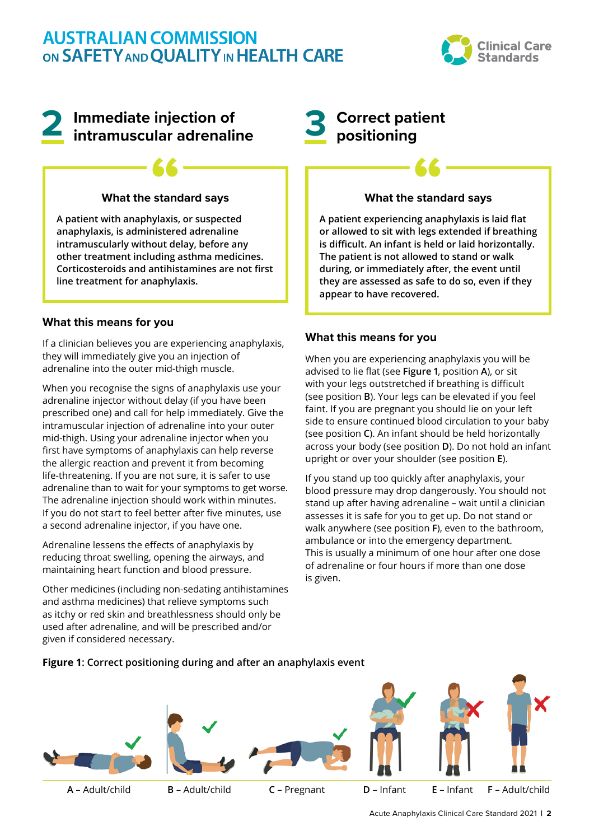

# **2 Immediate injection of intramuscular adrenaline**

# **What the standard says 66**<br>stand

**A patient with anaphylaxis, or suspected anaphylaxis, is administered adrenaline intramuscularly without delay, before any other treatment including asthma medicines. Corticosteroids and antihistamines are not first line treatment for anaphylaxis.**

#### **What this means for you**

If a clinician believes you are experiencing anaphylaxis, they will immediately give you an injection of adrenaline into the outer mid-thigh muscle.

When you recognise the signs of anaphylaxis use your adrenaline injector without delay (if you have been prescribed one) and call for help immediately. Give the intramuscular injection of adrenaline into your outer mid-thigh. Using your adrenaline injector when you first have symptoms of anaphylaxis can help reverse the allergic reaction and prevent it from becoming life-threatening. If you are not sure, it is safer to use adrenaline than to wait for your symptoms to get worse. The adrenaline injection should work within minutes. If you do not start to feel better after five minutes, use a second adrenaline injector, if you have one.

Adrenaline lessens the effects of anaphylaxis by reducing throat swelling, opening the airways, and maintaining heart function and blood pressure.

Other medicines (including non-sedating antihistamines and asthma medicines) that relieve symptoms such as itchy or red skin and breathlessness should only be used after adrenaline, and will be prescribed and/or given if considered necessary.

## **3 Correct patient positioning**

# **What the standard says 66**<br>stand

**A patient experiencing anaphylaxis is laid flat or allowed to sit with legs extended if breathing is difficult. An infant is held or laid horizontally. The patient is not allowed to stand or walk during, or immediately after, the event until they are assessed as safe to do so, even if they appear to have recovered.**

#### **What this means for you**

When you are experiencing anaphylaxis you will be advised to lie flat (see **Figure 1**, position **A**), or sit with your legs outstretched if breathing is difficult (see position **B**). Your legs can be elevated if you feel faint. If you are pregnant you should lie on your left side to ensure continued blood circulation to your baby (see position **C**). An infant should be held horizontally across your body (see position **D**). Do not hold an infant upright or over your shoulder (see position **E**).

If you stand up too quickly after anaphylaxis, your blood pressure may drop dangerously. You should not stand up after having adrenaline – wait until a clinician assesses it is safe for you to get up. Do not stand or walk anywhere (see position **F**), even to the bathroom, ambulance or into the emergency department. This is usually a minimum of one hour after one dose of adrenaline or four hours if more than one dose is given.

#### **Figure 1: Correct positioning during and after an anaphylaxis event**

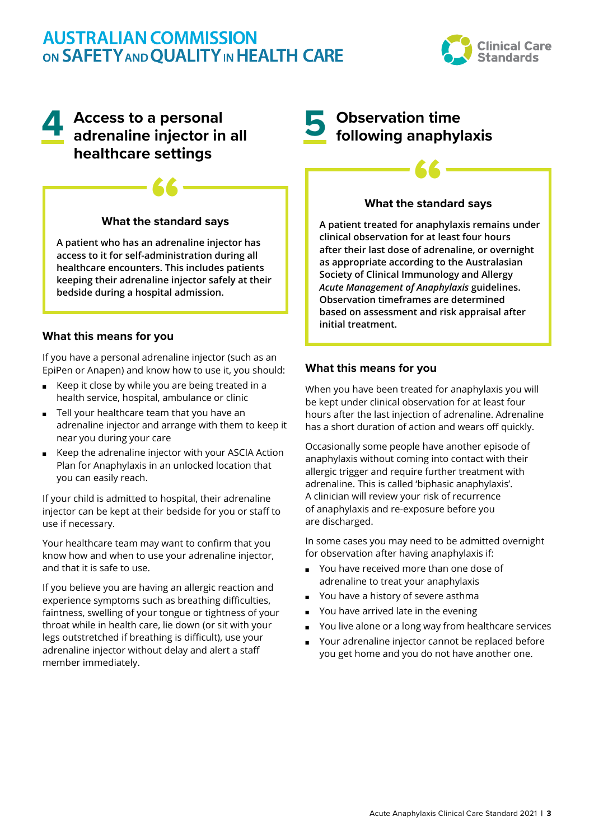

# **4 Access to a personal adrenaline injector in all healthcare settings**

# *<u>K</u>*<br>What the standard says

**A patient who has an adrenaline injector has access to it for self-administration during all healthcare encounters. This includes patients keeping their adrenaline injector safely at their bedside during a hospital admission.**

### **What this means for you**

If you have a personal adrenaline injector (such as an EpiPen or Anapen) and know how to use it, you should:

- Keep it close by while you are being treated in a health service, hospital, ambulance or clinic
- Tell your healthcare team that you have an adrenaline injector and arrange with them to keep it near you during your care
- Keep the adrenaline injector with your ASCIA Action Plan for Anaphylaxis in an unlocked location that you can easily reach.

If your child is admitted to hospital, their adrenaline injector can be kept at their bedside for you or staff to use if necessary.

Your healthcare team may want to confirm that you know how and when to use your adrenaline injector, and that it is safe to use.

If you believe you are having an allergic reaction and experience symptoms such as breathing difficulties, faintness, swelling of your tongue or tightness of your throat while in health care, lie down (or sit with your legs outstretched if breathing is difficult), use your adrenaline injector without delay and alert a staff member immediately.

# **5 Observation time following anaphylaxis**

# *<u>K</u>*<br>What the standard says

**A patient treated for anaphylaxis remains under clinical observation for at least four hours after their last dose of adrenaline, or overnight as appropriate according to the Australasian Society of Clinical Immunology and Allergy**  *Acute Management of Anaphylaxis* **guidelines. Observation timeframes are determined based on assessment and risk appraisal after initial treatment.**

#### **What this means for you**

When you have been treated for anaphylaxis you will be kept under clinical observation for at least four hours after the last injection of adrenaline. Adrenaline has a short duration of action and wears off quickly.

Occasionally some people have another episode of anaphylaxis without coming into contact with their allergic trigger and require further treatment with adrenaline. This is called 'biphasic anaphylaxis'. A clinician will review your risk of recurrence of anaphylaxis and re-exposure before you are discharged.

In some cases you may need to be admitted overnight for observation after having anaphylaxis if:

- You have received more than one dose of adrenaline to treat your anaphylaxis
- You have a history of severe asthma
- You have arrived late in the evening
- You live alone or a long way from healthcare services
- Your adrenaline injector cannot be replaced before you get home and you do not have another one.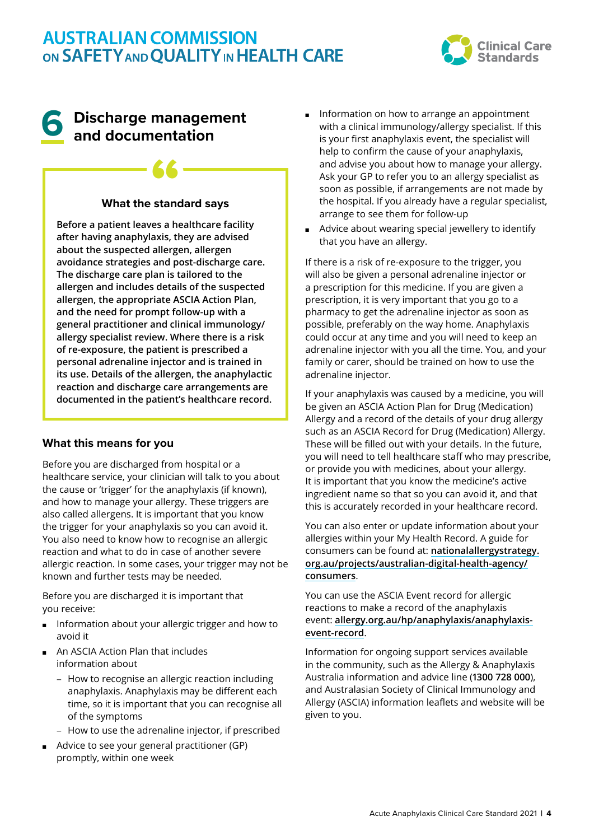

## **6 Discharge management and documentation**

# *<u>K</u>*<br>What the standard says

**Before a patient leaves a healthcare facility after having anaphylaxis, they are advised about the suspected allergen, allergen avoidance strategies and post-discharge care. The discharge care plan is tailored to the allergen and includes details of the suspected allergen, the appropriate ASCIA Action Plan, and the need for prompt follow-up with a general practitioner and clinical immunology/ allergy specialist review. Where there is a risk of re-exposure, the patient is prescribed a personal adrenaline injector and is trained in its use. Details of the allergen, the anaphylactic reaction and discharge care arrangements are documented in the patient's healthcare record.**

### **What this means for you**

Before you are discharged from hospital or a healthcare service, your clinician will talk to you about the cause or 'trigger' for the anaphylaxis (if known), and how to manage your allergy. These triggers are also called allergens. It is important that you know the trigger for your anaphylaxis so you can avoid it. You also need to know how to recognise an allergic reaction and what to do in case of another severe allergic reaction. In some cases, your trigger may not be known and further tests may be needed.

Before you are discharged it is important that you receive:

- Information about your allergic trigger and how to avoid it
- An ASCIA Action Plan that includes information about
	- − How to recognise an allergic reaction including anaphylaxis. Anaphylaxis may be different each time, so it is important that you can recognise all of the symptoms
	- − How to use the adrenaline injector, if prescribed
- Advice to see your general practitioner (GP) promptly, within one week
- Information on how to arrange an appointment with a clinical immunology/allergy specialist. If this is your first anaphylaxis event, the specialist will help to confirm the cause of your anaphylaxis, and advise you about how to manage your allergy. Ask your GP to refer you to an allergy specialist as soon as possible, if arrangements are not made by the hospital. If you already have a regular specialist, arrange to see them for follow-up
- Advice about wearing special jewellery to identify that you have an allergy.

If there is a risk of re-exposure to the trigger, you will also be given a personal adrenaline injector or a prescription for this medicine. If you are given a prescription, it is very important that you go to a pharmacy to get the adrenaline injector as soon as possible, preferably on the way home. Anaphylaxis could occur at any time and you will need to keep an adrenaline injector with you all the time. You, and your family or carer, should be trained on how to use the adrenaline injector.

If your anaphylaxis was caused by a medicine, you will be given an ASCIA Action Plan for Drug (Medication) Allergy and a record of the details of your drug allergy such as an ASCIA Record for Drug (Medication) Allergy. These will be filled out with your details. In the future, you will need to tell healthcare staff who may prescribe, or provide you with medicines, about your allergy. It is important that you know the medicine's active ingredient name so that so you can avoid it, and that this is accurately recorded in your healthcare record.

You can also enter or update information about your allergies within your My Health Record. A guide for consumers can be found at: **[nationalallergystrategy.](https://nationalallergystrategy.org.au/projects/australian-digital-health-agency/consumers) [org.au/projects/australian-digital-health-agency/](https://nationalallergystrategy.org.au/projects/australian-digital-health-agency/consumers) [consumers](https://nationalallergystrategy.org.au/projects/australian-digital-health-agency/consumers)**.

You can use the ASCIA Event record for allergic reactions to make a record of the anaphylaxis event: **[allergy.org.au/hp/anaphylaxis/anaphylaxis](https://www.allergy.org.au/hp/anaphylaxis/anaphylaxis-event-record)[event-record](https://www.allergy.org.au/hp/anaphylaxis/anaphylaxis-event-record)**.

Information for ongoing support services available in the community, such as the Allergy & Anaphylaxis Australia information and advice line (**1300 728 000**), and Australasian Society of Clinical Immunology and Allergy (ASCIA) information leaflets and website will be given to you.